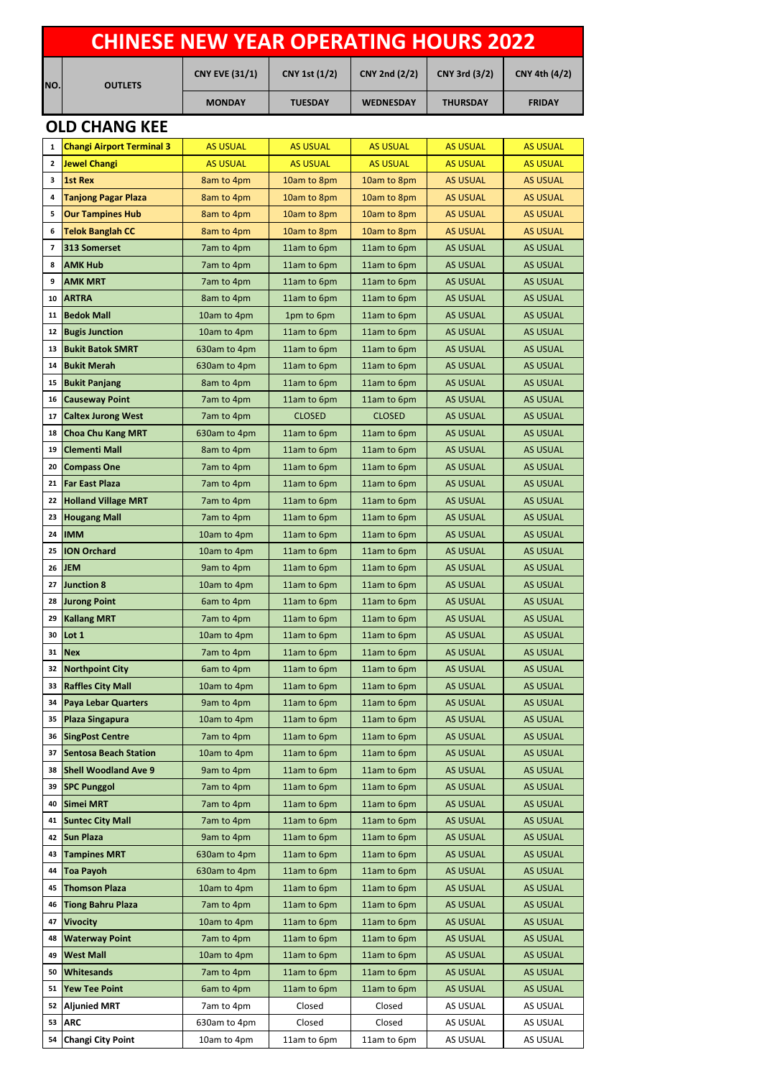| <b>CHINESE NEW YEAR OPERATING HOURS 2022</b> |                                                        |                           |                            |                            |                                    |                                    |  |  |  |  |  |
|----------------------------------------------|--------------------------------------------------------|---------------------------|----------------------------|----------------------------|------------------------------------|------------------------------------|--|--|--|--|--|
| NO.                                          | <b>OUTLETS</b>                                         | <b>CNY EVE (31/1)</b>     | <b>CNY 1st (1/2)</b>       | <b>CNY 2nd (2/2)</b>       | CNY 3rd (3/2)                      | CNY 4th (4/2)                      |  |  |  |  |  |
|                                              |                                                        | <b>MONDAY</b>             | <b>TUESDAY</b>             | <b>WEDNESDAY</b>           | <b>THURSDAY</b>                    | <b>FRIDAY</b>                      |  |  |  |  |  |
|                                              | <b>OLD CHANG KEE</b>                                   |                           |                            |                            |                                    |                                    |  |  |  |  |  |
| 1                                            | <b>Changi Airport Terminal 3</b>                       | <b>AS USUAL</b>           | <b>AS USUAL</b>            | <b>AS USUAL</b>            | <b>AS USUAL</b>                    | <b>AS USUAL</b>                    |  |  |  |  |  |
| $\mathbf{2}$                                 | Jewel Changi                                           | <b>AS USUAL</b>           | <b>AS USUAL</b>            | <b>AS USUAL</b>            | <b>AS USUAL</b>                    | <b>AS USUAL</b>                    |  |  |  |  |  |
| 3                                            | <b>1st Rex</b>                                         | 8am to 4pm                | 10am to 8pm                | 10am to 8pm                | <b>AS USUAL</b>                    | <b>AS USUAL</b>                    |  |  |  |  |  |
| 4                                            | <b>Tanjong Pagar Plaza</b>                             | 8am to 4pm                | 10am to 8pm                | 10am to 8pm                | <b>AS USUAL</b>                    | <b>AS USUAL</b>                    |  |  |  |  |  |
| 5                                            | <b>Our Tampines Hub</b>                                | 8am to 4pm                | 10am to 8pm                | 10am to 8pm                | <b>AS USUAL</b>                    | <b>AS USUAL</b>                    |  |  |  |  |  |
| 6                                            | <b>Telok Banglah CC</b>                                | 8am to 4pm                | 10am to 8pm                | 10am to 8pm                | <b>AS USUAL</b>                    | <b>AS USUAL</b>                    |  |  |  |  |  |
| 7                                            | 313 Somerset                                           | 7am to 4pm                | 11am to 6pm                | 11am to 6pm                | <b>AS USUAL</b>                    | <b>AS USUAL</b>                    |  |  |  |  |  |
| 8                                            | <b>AMK Hub</b>                                         | 7am to 4pm                | 11am to 6pm                | 11am to 6pm                | <b>AS USUAL</b>                    | <b>AS USUAL</b>                    |  |  |  |  |  |
| 9                                            | <b>AMK MRT</b>                                         | 7am to 4pm                | 11am to 6pm                | 11am to 6pm                | <b>AS USUAL</b>                    | <b>AS USUAL</b>                    |  |  |  |  |  |
| 10                                           | <b>ARTRA</b>                                           | 8am to 4pm                | 11am to 6pm                | 11am to 6pm                | <b>AS USUAL</b>                    | <b>AS USUAL</b>                    |  |  |  |  |  |
| 11                                           | <b>Bedok Mall</b>                                      | 10am to 4pm               | 1pm to 6pm                 | 11am to 6pm                | <b>AS USUAL</b>                    | <b>AS USUAL</b>                    |  |  |  |  |  |
| 12                                           | <b>Bugis Junction</b>                                  | 10am to 4pm               | 11am to 6pm                | 11am to 6pm                | <b>AS USUAL</b>                    | <b>AS USUAL</b>                    |  |  |  |  |  |
| 13                                           | <b>Bukit Batok SMRT</b>                                | 630am to 4pm              | 11am to 6pm                | 11am to 6pm                | <b>AS USUAL</b>                    | <b>AS USUAL</b>                    |  |  |  |  |  |
| 14                                           | <b>Bukit Merah</b>                                     | 630am to 4pm              | 11am to 6pm                | 11am to 6pm                | <b>AS USUAL</b>                    | <b>AS USUAL</b>                    |  |  |  |  |  |
| 15                                           | <b>Bukit Panjang</b>                                   | 8am to 4pm                | 11am to 6pm                | 11am to 6pm                | <b>AS USUAL</b>                    | <b>AS USUAL</b>                    |  |  |  |  |  |
| 16                                           | <b>Causeway Point</b>                                  | 7am to 4pm                | 11am to 6pm                | 11am to 6pm                | <b>AS USUAL</b>                    | <b>AS USUAL</b>                    |  |  |  |  |  |
| 17                                           | <b>Caltex Jurong West</b>                              | 7am to 4pm                | <b>CLOSED</b>              | <b>CLOSED</b>              | <b>AS USUAL</b>                    | <b>AS USUAL</b>                    |  |  |  |  |  |
| 18                                           | <b>Choa Chu Kang MRT</b>                               | 630am to 4pm              | 11am to 6pm                | 11am to 6pm                | <b>AS USUAL</b>                    | <b>AS USUAL</b>                    |  |  |  |  |  |
| 19                                           | <b>Clementi Mall</b>                                   | 8am to 4pm                | 11am to 6pm                | 11am to 6pm                | <b>AS USUAL</b>                    | <b>AS USUAL</b>                    |  |  |  |  |  |
| 20                                           | <b>Compass One</b>                                     | 7am to 4pm                | 11am to 6pm                | 11am to 6pm                | <b>AS USUAL</b>                    | <b>AS USUAL</b>                    |  |  |  |  |  |
| 21                                           | <b>Far East Plaza</b>                                  | 7am to 4pm                | 11am to 6pm                | 11am to 6pm                | <b>AS USUAL</b>                    | <b>AS USUAL</b>                    |  |  |  |  |  |
| 22                                           | <b>Holland Village MRT</b>                             | 7am to 4pm                | 11am to 6pm                | 11am to 6pm                | <b>AS USUAL</b>                    | <b>AS USUAL</b>                    |  |  |  |  |  |
| 23                                           | <b>Hougang Mall</b>                                    | 7am to 4pm                | 11am to 6pm                | 11am to 6pm                | <b>AS USUAL</b>                    | <b>AS USUAL</b>                    |  |  |  |  |  |
| 24                                           | <b>IMM</b>                                             | 10am to 4pm               | 11am to 6pm                | 11am to 6pm                | <b>AS USUAL</b>                    | <b>AS USUAL</b>                    |  |  |  |  |  |
| 25                                           | <b>ION Orchard</b>                                     | 10am to 4pm               | 11am to 6pm                | 11am to 6pm                | <b>AS USUAL</b>                    | <b>AS USUAL</b>                    |  |  |  |  |  |
|                                              | 26 JEM                                                 | 9am to 4pm                | 11am to 6pm                | 11am to 6pm                | <b>AS USUAL</b>                    | <b>AS USUAL</b>                    |  |  |  |  |  |
| 27                                           | <b>Junction 8</b>                                      | 10am to 4pm               | 11am to 6pm                | 11am to 6pm                | <b>AS USUAL</b>                    | <b>AS USUAL</b>                    |  |  |  |  |  |
| 28                                           | <b>Jurong Point</b>                                    | 6am to 4pm                | 11am to 6pm                | 11am to 6pm                | <b>AS USUAL</b>                    | <b>AS USUAL</b>                    |  |  |  |  |  |
| 29                                           | <b>Kallang MRT</b>                                     | 7am to 4pm                | 11am to 6pm                | 11am to 6pm                | <b>AS USUAL</b>                    | <b>AS USUAL</b>                    |  |  |  |  |  |
| 30                                           | Lot 1                                                  | 10am to 4pm               | 11am to 6pm                | 11am to 6pm                | <b>AS USUAL</b>                    | <b>AS USUAL</b>                    |  |  |  |  |  |
| 31                                           | <b>Nex</b>                                             | 7am to 4pm                | 11am to 6pm                | 11am to 6pm                | <b>AS USUAL</b>                    | <b>AS USUAL</b>                    |  |  |  |  |  |
| 32                                           | <b>Northpoint City</b>                                 | 6am to 4pm                | 11am to 6pm                | 11am to 6pm                | <b>AS USUAL</b>                    | <b>AS USUAL</b>                    |  |  |  |  |  |
| 33<br>34                                     | <b>Raffles City Mall</b><br><b>Paya Lebar Quarters</b> | 10am to 4pm<br>9am to 4pm | 11am to 6pm<br>11am to 6pm | 11am to 6pm<br>11am to 6pm | <b>AS USUAL</b><br><b>AS USUAL</b> | <b>AS USUAL</b><br><b>AS USUAL</b> |  |  |  |  |  |
| 35                                           | <b>Plaza Singapura</b>                                 | 10am to 4pm               | 11am to 6pm                | 11am to 6pm                | <b>AS USUAL</b>                    | <b>AS USUAL</b>                    |  |  |  |  |  |
| 36                                           | <b>SingPost Centre</b>                                 | 7am to 4pm                | 11am to 6pm                | 11am to 6pm                | <b>AS USUAL</b>                    | <b>AS USUAL</b>                    |  |  |  |  |  |
| 37                                           | <b>Sentosa Beach Station</b>                           | 10am to 4pm               | 11am to 6pm                | 11am to 6pm                | <b>AS USUAL</b>                    | <b>AS USUAL</b>                    |  |  |  |  |  |
| 38                                           | <b>Shell Woodland Ave 9</b>                            | 9am to 4pm                | 11am to 6pm                | 11am to 6pm                | <b>AS USUAL</b>                    | <b>AS USUAL</b>                    |  |  |  |  |  |
| 39                                           | <b>SPC Punggol</b>                                     | 7am to 4pm                | 11am to 6pm                | 11am to 6pm                | <b>AS USUAL</b>                    | <b>AS USUAL</b>                    |  |  |  |  |  |
| 40                                           | <b>Simei MRT</b>                                       | 7am to 4pm                | 11am to 6pm                | 11am to 6pm                | <b>AS USUAL</b>                    | <b>AS USUAL</b>                    |  |  |  |  |  |
| 41                                           | <b>Suntec City Mall</b>                                | 7am to 4pm                | 11am to 6pm                | 11am to 6pm                | <b>AS USUAL</b>                    | <b>AS USUAL</b>                    |  |  |  |  |  |
| 42                                           | <b>Sun Plaza</b>                                       | 9am to 4pm                | 11am to 6pm                | 11am to 6pm                | <b>AS USUAL</b>                    | <b>AS USUAL</b>                    |  |  |  |  |  |
| 43                                           | <b>Tampines MRT</b>                                    | 630am to 4pm              | 11am to 6pm                | 11am to 6pm                | <b>AS USUAL</b>                    | <b>AS USUAL</b>                    |  |  |  |  |  |
| 44                                           | <b>Toa Payoh</b>                                       | 630am to 4pm              | 11am to 6pm                | 11am to 6pm                | <b>AS USUAL</b>                    | <b>AS USUAL</b>                    |  |  |  |  |  |
| 45                                           | <b>Thomson Plaza</b>                                   | 10am to 4pm               | 11am to 6pm                | 11am to 6pm                | <b>AS USUAL</b>                    | <b>AS USUAL</b>                    |  |  |  |  |  |
| 46                                           | <b>Tiong Bahru Plaza</b>                               | 7am to 4pm                | 11am to 6pm                | 11am to 6pm                | <b>AS USUAL</b>                    | <b>AS USUAL</b>                    |  |  |  |  |  |
| 47                                           | <b>Vivocity</b>                                        | 10am to 4pm               | 11am to 6pm                | 11am to 6pm                | <b>AS USUAL</b>                    | <b>AS USUAL</b>                    |  |  |  |  |  |
| 48                                           | <b>Waterway Point</b>                                  | 7am to 4pm                | 11am to 6pm                | 11am to 6pm                | <b>AS USUAL</b>                    | <b>AS USUAL</b>                    |  |  |  |  |  |
| 49                                           | <b>West Mall</b>                                       | 10am to 4pm               | 11am to 6pm                | 11am to 6pm                | <b>AS USUAL</b>                    | <b>AS USUAL</b>                    |  |  |  |  |  |
| 50                                           | Whitesands                                             | 7am to 4pm                | 11am to 6pm                | 11am to 6pm                | <b>AS USUAL</b>                    | <b>AS USUAL</b>                    |  |  |  |  |  |
| 51                                           | <b>Yew Tee Point</b>                                   | 6am to 4pm                | 11am to 6pm                | 11am to 6pm                | <b>AS USUAL</b>                    | <b>AS USUAL</b>                    |  |  |  |  |  |
| 52                                           | <b>Aljunied MRT</b>                                    | 7am to 4pm                | Closed                     | Closed                     | AS USUAL                           | AS USUAL                           |  |  |  |  |  |
| 53                                           | <b>ARC</b>                                             | 630am to 4pm              | Closed                     | Closed                     | AS USUAL                           | AS USUAL                           |  |  |  |  |  |
| 54                                           | <b>Changi City Point</b>                               | 10am to 4pm               | 11am to 6pm                | 11am to 6pm                | AS USUAL                           | AS USUAL                           |  |  |  |  |  |